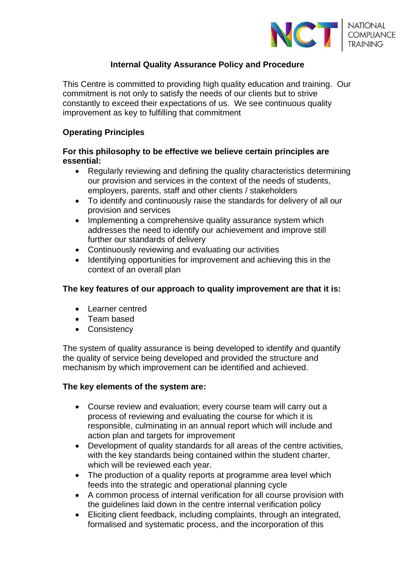

# **Internal Quality Assurance Policy and Procedure**

This Centre is committed to providing high quality education and training. Our commitment is not only to satisfy the needs of our clients but to strive constantly to exceed their expectations of us. We see continuous quality improvement as key to fulfilling that commitment

#### **Operating Principles**

## **For this philosophy to be effective we believe certain principles are essential:**

- Regularly reviewing and defining the quality characteristics determining our provision and services in the context of the needs of students, employers, parents, staff and other clients / stakeholders
- To identify and continuously raise the standards for delivery of all our provision and services
- Implementing a comprehensive quality assurance system which addresses the need to identify our achievement and improve still further our standards of delivery
- Continuously reviewing and evaluating our activities
- Identifying opportunities for improvement and achieving this in the context of an overall plan

# **The key features of our approach to quality improvement are that it is:**

- Learner centred
- Team based
- Consistency

The system of quality assurance is being developed to identify and quantify the quality of service being developed and provided the structure and mechanism by which improvement can be identified and achieved.

#### **The key elements of the system are:**

- Course review and evaluation; every course team will carry out a process of reviewing and evaluating the course for which it is responsible, culminating in an annual report which will include and action plan and targets for improvement
- Development of quality standards for all areas of the centre activities, with the key standards being contained within the student charter, which will be reviewed each year.
- The production of a quality reports at programme area level which feeds into the strategic and operational planning cycle
- A common process of internal verification for all course provision with the guidelines laid down in the centre internal verification policy
- Eliciting client feedback, including complaints, through an integrated, formalised and systematic process, and the incorporation of this